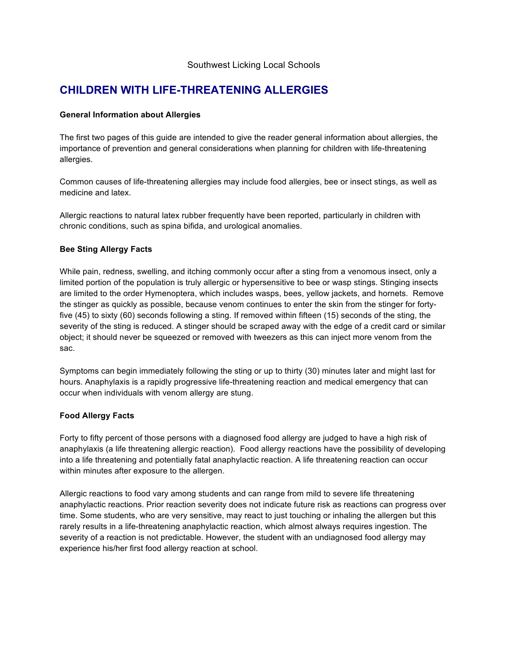# Southwest Licking Local Schools

# **CHILDREN WITH LIFE-THREATENING ALLERGIES**

## **General Information about Allergies**

The first two pages of this guide are intended to give the reader general information about allergies, the importance of prevention and general considerations when planning for children with life-threatening allergies.

Common causes of life-threatening allergies may include food allergies, bee or insect stings, as well as medicine and latex.

Allergic reactions to natural latex rubber frequently have been reported, particularly in children with chronic conditions, such as spina bifida, and urological anomalies.

# **Bee Sting Allergy Facts**

While pain, redness, swelling, and itching commonly occur after a sting from a venomous insect, only a limited portion of the population is truly allergic or hypersensitive to bee or wasp stings. Stinging insects are limited to the order Hymenoptera, which includes wasps, bees, yellow jackets, and hornets. Remove the stinger as quickly as possible, because venom continues to enter the skin from the stinger for fortyfive (45) to sixty (60) seconds following a sting. If removed within fifteen (15) seconds of the sting, the severity of the sting is reduced. A stinger should be scraped away with the edge of a credit card or similar object; it should never be squeezed or removed with tweezers as this can inject more venom from the sac.

Symptoms can begin immediately following the sting or up to thirty (30) minutes later and might last for hours. Anaphylaxis is a rapidly progressive life-threatening reaction and medical emergency that can occur when individuals with venom allergy are stung.

# **Food Allergy Facts**

Forty to fifty percent of those persons with a diagnosed food allergy are judged to have a high risk of anaphylaxis (a life threatening allergic reaction). Food allergy reactions have the possibility of developing into a life threatening and potentially fatal anaphylactic reaction. A life threatening reaction can occur within minutes after exposure to the allergen.

Allergic reactions to food vary among students and can range from mild to severe life threatening anaphylactic reactions. Prior reaction severity does not indicate future risk as reactions can progress over time. Some students, who are very sensitive, may react to just touching or inhaling the allergen but this rarely results in a life-threatening anaphylactic reaction, which almost always requires ingestion. The severity of a reaction is not predictable. However, the student with an undiagnosed food allergy may experience his/her first food allergy reaction at school.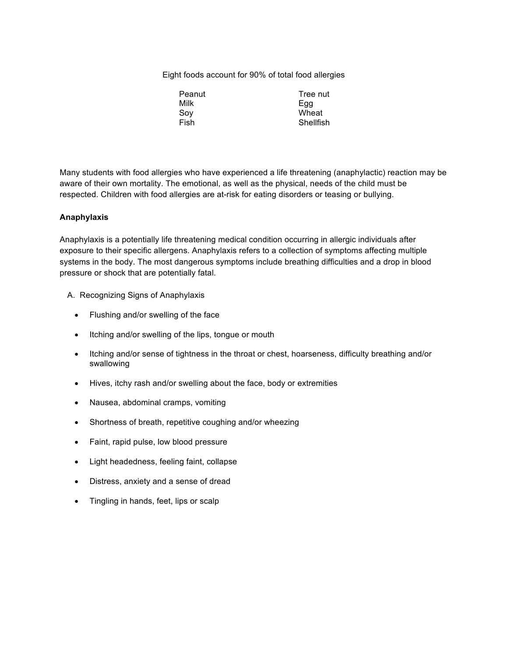Eight foods account for 90% of total food allergies

| Peanut | Tree nut  |
|--------|-----------|
| Milk   | Egg       |
| Soy    | Wheat     |
| Fish   | Shellfish |
|        |           |

Many students with food allergies who have experienced a life threatening (anaphylactic) reaction may be aware of their own mortality. The emotional, as well as the physical, needs of the child must be respected. Children with food allergies are at-risk for eating disorders or teasing or bullying.

## **Anaphylaxis**

Anaphylaxis is a potentially life threatening medical condition occurring in allergic individuals after exposure to their specific allergens. Anaphylaxis refers to a collection of symptoms affecting multiple systems in the body. The most dangerous symptoms include breathing difficulties and a drop in blood pressure or shock that are potentially fatal.

- A. Recognizing Signs of Anaphylaxis
	- Flushing and/or swelling of the face
	- Itching and/or swelling of the lips, tongue or mouth
	- Itching and/or sense of tightness in the throat or chest, hoarseness, difficulty breathing and/or swallowing
	- Hives, itchy rash and/or swelling about the face, body or extremities
	- Nausea, abdominal cramps, vomiting
	- Shortness of breath, repetitive coughing and/or wheezing
	- Faint, rapid pulse, low blood pressure
	- Light headedness, feeling faint, collapse
	- Distress, anxiety and a sense of dread
	- Tingling in hands, feet, lips or scalp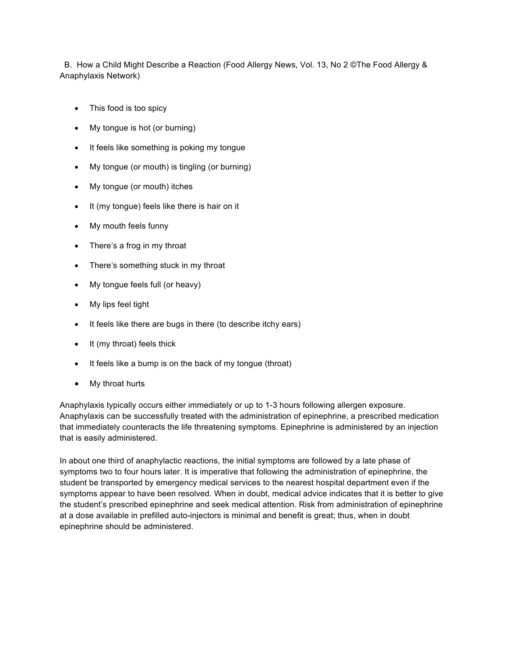B. How a Child Might Describe a Reaction (Food Allergy News, Vol. 13, No 2 ©The Food Allergy & Anaphylaxis Network)

- This food is too spicy
- My tongue is hot (or burning)
- It feels like something is poking my tongue
- My tongue (or mouth) is tingling (or burning)
- My tongue (or mouth) itches
- It (my tongue) feels like there is hair on it
- My mouth feels funny
- There's a frog in my throat
- There's something stuck in my throat
- My tongue feels full (or heavy)
- My lips feel tight
- It feels like there are bugs in there (to describe itchy ears)
- It (my throat) feels thick
- It feels like a bump is on the back of my tongue (throat)
- My throat hurts

Anaphylaxis typically occurs either immediately or up to 1-3 hours following allergen exposure. Anaphylaxis can be successfully treated with the administration of epinephrine, a prescribed medication that immediately counteracts the life threatening symptoms. Epinephrine is administered by an injection that is easily administered.

In about one third of anaphylactic reactions, the initial symptoms are followed by a late phase of symptoms two to four hours later. It is imperative that following the administration of epinephrine, the student be transported by emergency medical services to the nearest hospital department even if the symptoms appear to have been resolved. When in doubt, medical advice indicates that it is better to give the student's prescribed epinephrine and seek medical attention. Risk from administration of epinephrine at a dose available in prefilled auto-injectors is minimal and benefit is great; thus, when in doubt epinephrine should be administered.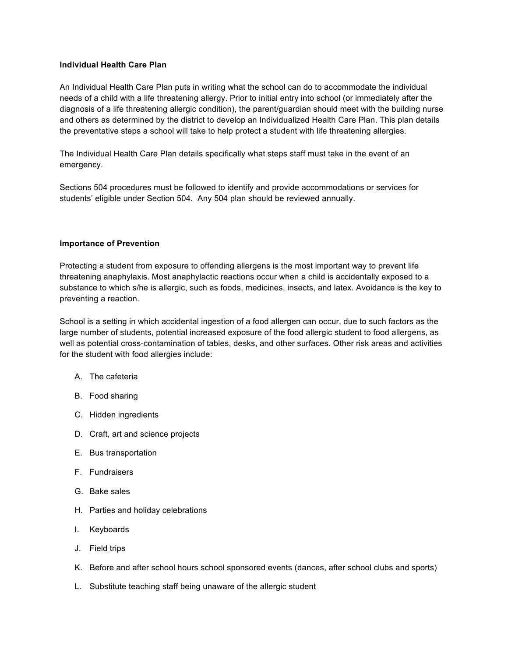## **Individual Health Care Plan**

An Individual Health Care Plan puts in writing what the school can do to accommodate the individual needs of a child with a life threatening allergy. Prior to initial entry into school (or immediately after the diagnosis of a life threatening allergic condition), the parent/guardian should meet with the building nurse and others as determined by the district to develop an Individualized Health Care Plan. This plan details the preventative steps a school will take to help protect a student with life threatening allergies.

The Individual Health Care Plan details specifically what steps staff must take in the event of an emergency.

Sections 504 procedures must be followed to identify and provide accommodations or services for students' eligible under Section 504. Any 504 plan should be reviewed annually.

#### **Importance of Prevention**

Protecting a student from exposure to offending allergens is the most important way to prevent life threatening anaphylaxis. Most anaphylactic reactions occur when a child is accidentally exposed to a substance to which s/he is allergic, such as foods, medicines, insects, and latex. Avoidance is the key to preventing a reaction.

School is a setting in which accidental ingestion of a food allergen can occur, due to such factors as the large number of students, potential increased exposure of the food allergic student to food allergens, as well as potential cross-contamination of tables, desks, and other surfaces. Other risk areas and activities for the student with food allergies include:

- A. The cafeteria
- B. Food sharing
- C. Hidden ingredients
- D. Craft, art and science projects
- E. Bus transportation
- F. Fundraisers
- G. Bake sales
- H. Parties and holiday celebrations
- I. Keyboards
- J. Field trips
- K. Before and after school hours school sponsored events (dances, after school clubs and sports)
- L. Substitute teaching staff being unaware of the allergic student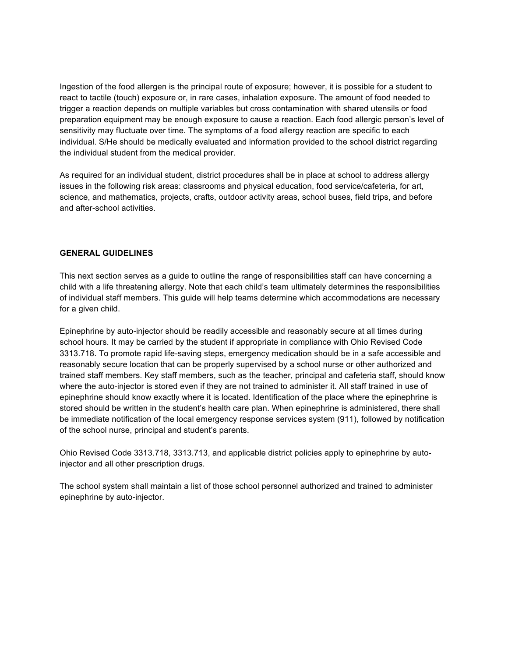Ingestion of the food allergen is the principal route of exposure; however, it is possible for a student to react to tactile (touch) exposure or, in rare cases, inhalation exposure. The amount of food needed to trigger a reaction depends on multiple variables but cross contamination with shared utensils or food preparation equipment may be enough exposure to cause a reaction. Each food allergic person's level of sensitivity may fluctuate over time. The symptoms of a food allergy reaction are specific to each individual. S/He should be medically evaluated and information provided to the school district regarding the individual student from the medical provider.

As required for an individual student, district procedures shall be in place at school to address allergy issues in the following risk areas: classrooms and physical education, food service/cafeteria, for art, science, and mathematics, projects, crafts, outdoor activity areas, school buses, field trips, and before and after-school activities.

#### **GENERAL GUIDELINES**

This next section serves as a guide to outline the range of responsibilities staff can have concerning a child with a life threatening allergy. Note that each child's team ultimately determines the responsibilities of individual staff members. This guide will help teams determine which accommodations are necessary for a given child.

Epinephrine by auto-injector should be readily accessible and reasonably secure at all times during school hours. It may be carried by the student if appropriate in compliance with Ohio Revised Code 3313.718. To promote rapid life-saving steps, emergency medication should be in a safe accessible and reasonably secure location that can be properly supervised by a school nurse or other authorized and trained staff members. Key staff members, such as the teacher, principal and cafeteria staff, should know where the auto-injector is stored even if they are not trained to administer it. All staff trained in use of epinephrine should know exactly where it is located. Identification of the place where the epinephrine is stored should be written in the student's health care plan. When epinephrine is administered, there shall be immediate notification of the local emergency response services system (911), followed by notification of the school nurse, principal and student's parents.

Ohio Revised Code 3313.718, 3313.713, and applicable district policies apply to epinephrine by autoinjector and all other prescription drugs.

The school system shall maintain a list of those school personnel authorized and trained to administer epinephrine by auto-injector.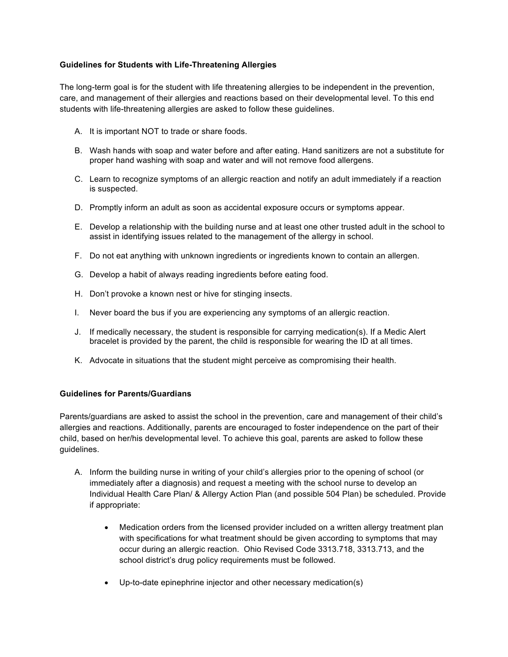# **Guidelines for Students with Life-Threatening Allergies**

The long-term goal is for the student with life threatening allergies to be independent in the prevention, care, and management of their allergies and reactions based on their developmental level. To this end students with life-threatening allergies are asked to follow these guidelines.

- A. It is important NOT to trade or share foods.
- B. Wash hands with soap and water before and after eating. Hand sanitizers are not a substitute for proper hand washing with soap and water and will not remove food allergens.
- C. Learn to recognize symptoms of an allergic reaction and notify an adult immediately if a reaction is suspected.
- D. Promptly inform an adult as soon as accidental exposure occurs or symptoms appear.
- E. Develop a relationship with the building nurse and at least one other trusted adult in the school to assist in identifying issues related to the management of the allergy in school.
- F. Do not eat anything with unknown ingredients or ingredients known to contain an allergen.
- G. Develop a habit of always reading ingredients before eating food.
- H. Don't provoke a known nest or hive for stinging insects.
- I. Never board the bus if you are experiencing any symptoms of an allergic reaction.
- J. If medically necessary, the student is responsible for carrying medication(s). If a Medic Alert bracelet is provided by the parent, the child is responsible for wearing the ID at all times.
- K. Advocate in situations that the student might perceive as compromising their health.

#### **Guidelines for Parents/Guardians**

Parents/guardians are asked to assist the school in the prevention, care and management of their child's allergies and reactions. Additionally, parents are encouraged to foster independence on the part of their child, based on her/his developmental level. To achieve this goal, parents are asked to follow these guidelines.

- A. Inform the building nurse in writing of your child's allergies prior to the opening of school (or immediately after a diagnosis) and request a meeting with the school nurse to develop an Individual Health Care Plan/ & Allergy Action Plan (and possible 504 Plan) be scheduled. Provide if appropriate:
	- Medication orders from the licensed provider included on a written allergy treatment plan with specifications for what treatment should be given according to symptoms that may occur during an allergic reaction. Ohio Revised Code 3313.718, 3313.713, and the school district's drug policy requirements must be followed.
	- Up-to-date epinephrine injector and other necessary medication(s)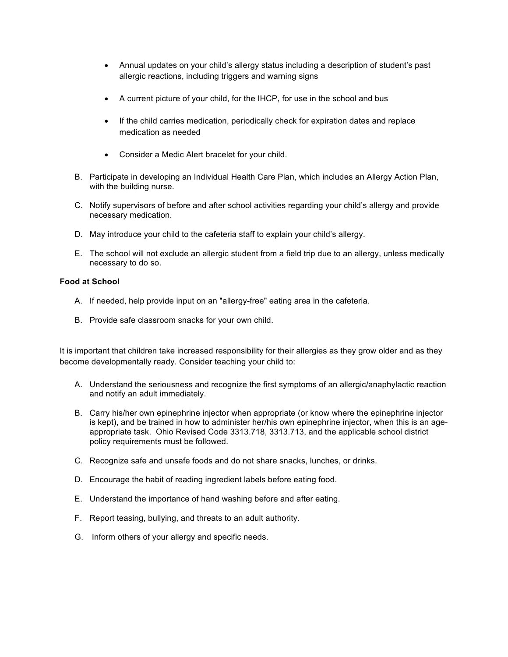- Annual updates on your child's allergy status including a description of student's past allergic reactions, including triggers and warning signs
- A current picture of your child, for the IHCP, for use in the school and bus
- If the child carries medication, periodically check for expiration dates and replace medication as needed
- Consider a Medic Alert bracelet for your child.
- B. Participate in developing an Individual Health Care Plan, which includes an Allergy Action Plan, with the building nurse.
- C. Notify supervisors of before and after school activities regarding your child's allergy and provide necessary medication.
- D. May introduce your child to the cafeteria staff to explain your child's allergy.
- E. The school will not exclude an allergic student from a field trip due to an allergy, unless medically necessary to do so.

# **Food at School**

- A. If needed, help provide input on an "allergy-free" eating area in the cafeteria.
- B. Provide safe classroom snacks for your own child.

It is important that children take increased responsibility for their allergies as they grow older and as they become developmentally ready. Consider teaching your child to:

- A. Understand the seriousness and recognize the first symptoms of an allergic/anaphylactic reaction and notify an adult immediately.
- B. Carry his/her own epinephrine injector when appropriate (or know where the epinephrine injector is kept), and be trained in how to administer her/his own epinephrine injector, when this is an ageappropriate task. Ohio Revised Code 3313.718, 3313.713, and the applicable school district policy requirements must be followed.
- C. Recognize safe and unsafe foods and do not share snacks, lunches, or drinks.
- D. Encourage the habit of reading ingredient labels before eating food.
- E. Understand the importance of hand washing before and after eating.
- F. Report teasing, bullying, and threats to an adult authority.
- G. Inform others of your allergy and specific needs.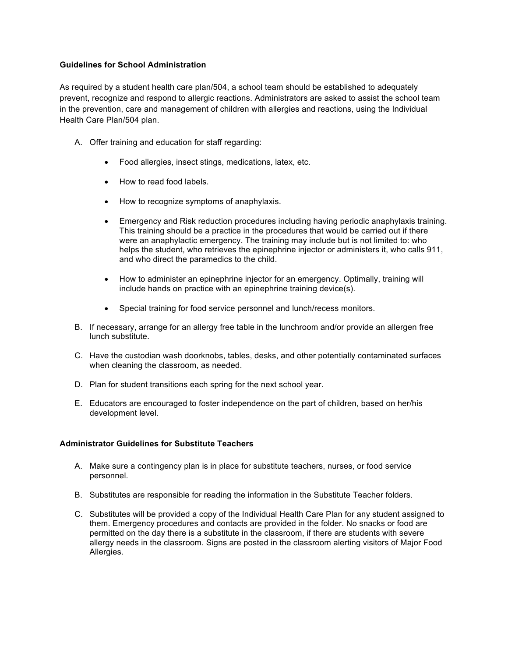## **Guidelines for School Administration**

As required by a student health care plan/504, a school team should be established to adequately prevent, recognize and respond to allergic reactions. Administrators are asked to assist the school team in the prevention, care and management of children with allergies and reactions, using the Individual Health Care Plan/504 plan.

- A. Offer training and education for staff regarding:
	- Food allergies, insect stings, medications, latex, etc.
	- How to read food labels.
	- How to recognize symptoms of anaphylaxis.
	- Emergency and Risk reduction procedures including having periodic anaphylaxis training. This training should be a practice in the procedures that would be carried out if there were an anaphylactic emergency. The training may include but is not limited to: who helps the student, who retrieves the epinephrine injector or administers it, who calls 911, and who direct the paramedics to the child.
	- How to administer an epinephrine injector for an emergency. Optimally, training will include hands on practice with an epinephrine training device(s).
	- Special training for food service personnel and lunch/recess monitors.
- B. If necessary, arrange for an allergy free table in the lunchroom and/or provide an allergen free lunch substitute.
- C. Have the custodian wash doorknobs, tables, desks, and other potentially contaminated surfaces when cleaning the classroom, as needed.
- D. Plan for student transitions each spring for the next school year.
- E. Educators are encouraged to foster independence on the part of children, based on her/his development level.

## **Administrator Guidelines for Substitute Teachers**

- A. Make sure a contingency plan is in place for substitute teachers, nurses, or food service personnel.
- B. Substitutes are responsible for reading the information in the Substitute Teacher folders.
- C. Substitutes will be provided a copy of the Individual Health Care Plan for any student assigned to them. Emergency procedures and contacts are provided in the folder. No snacks or food are permitted on the day there is a substitute in the classroom, if there are students with severe allergy needs in the classroom. Signs are posted in the classroom alerting visitors of Major Food Allergies.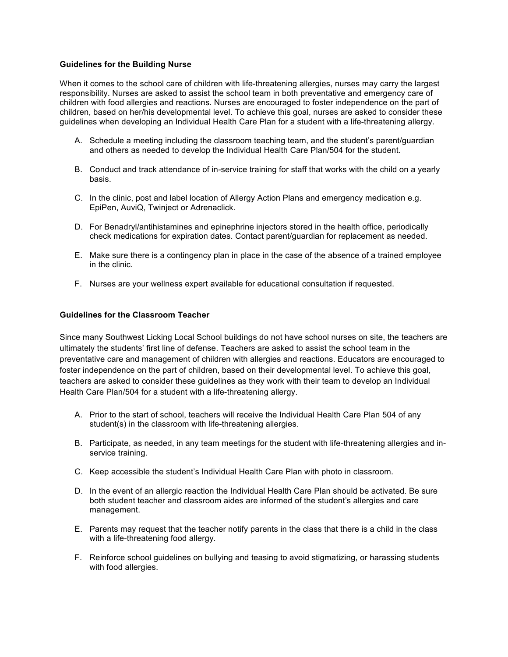### **Guidelines for the Building Nurse**

When it comes to the school care of children with life-threatening allergies, nurses may carry the largest responsibility. Nurses are asked to assist the school team in both preventative and emergency care of children with food allergies and reactions. Nurses are encouraged to foster independence on the part of children, based on her/his developmental level. To achieve this goal, nurses are asked to consider these guidelines when developing an Individual Health Care Plan for a student with a life-threatening allergy.

- A. Schedule a meeting including the classroom teaching team, and the student's parent/guardian and others as needed to develop the Individual Health Care Plan/504 for the student.
- B. Conduct and track attendance of in-service training for staff that works with the child on a yearly basis.
- C. In the clinic, post and label location of Allergy Action Plans and emergency medication e.g. EpiPen, AuviQ, Twinject or Adrenaclick.
- D. For Benadryl/antihistamines and epinephrine injectors stored in the health office, periodically check medications for expiration dates. Contact parent/guardian for replacement as needed.
- E. Make sure there is a contingency plan in place in the case of the absence of a trained employee in the clinic.
- F. Nurses are your wellness expert available for educational consultation if requested.

## **Guidelines for the Classroom Teacher**

Since many Southwest Licking Local School buildings do not have school nurses on site, the teachers are ultimately the students' first line of defense. Teachers are asked to assist the school team in the preventative care and management of children with allergies and reactions. Educators are encouraged to foster independence on the part of children, based on their developmental level. To achieve this goal, teachers are asked to consider these guidelines as they work with their team to develop an Individual Health Care Plan/504 for a student with a life-threatening allergy.

- A. Prior to the start of school, teachers will receive the Individual Health Care Plan 504 of any student(s) in the classroom with life-threatening allergies.
- B. Participate, as needed, in any team meetings for the student with life-threatening allergies and inservice training.
- C. Keep accessible the student's Individual Health Care Plan with photo in classroom.
- D. In the event of an allergic reaction the Individual Health Care Plan should be activated. Be sure both student teacher and classroom aides are informed of the student's allergies and care management.
- E. Parents may request that the teacher notify parents in the class that there is a child in the class with a life-threatening food allergy.
- F. Reinforce school guidelines on bullying and teasing to avoid stigmatizing, or harassing students with food allergies.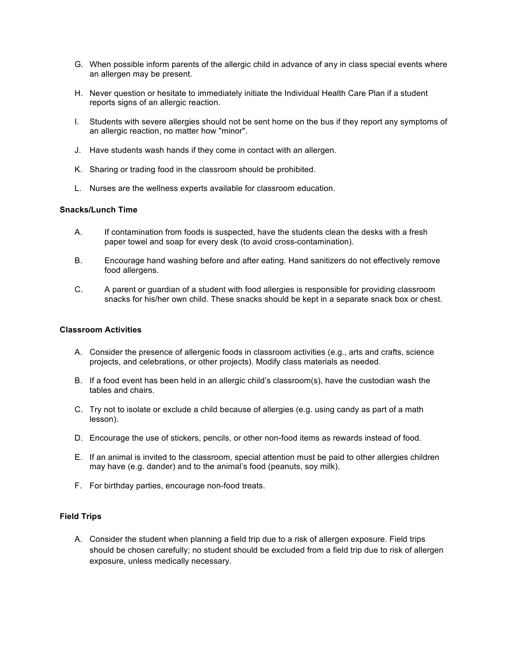- G. When possible inform parents of the allergic child in advance of any in class special events where an allergen may be present.
- H. Never question or hesitate to immediately initiate the Individual Health Care Plan if a student reports signs of an allergic reaction.
- I. Students with severe allergies should not be sent home on the bus if they report any symptoms of an allergic reaction, no matter how "minor".
- J. Have students wash hands if they come in contact with an allergen.
- K. Sharing or trading food in the classroom should be prohibited.
- L. Nurses are the wellness experts available for classroom education.

## **Snacks/Lunch Time**

- A. If contamination from foods is suspected, have the students clean the desks with a fresh paper towel and soap for every desk (to avoid cross-contamination).
- B. Encourage hand washing before and after eating. Hand sanitizers do not effectively remove food allergens.
- C. A parent or guardian of a student with food allergies is responsible for providing classroom snacks for his/her own child. These snacks should be kept in a separate snack box or chest.

#### **Classroom Activities**

- A. Consider the presence of allergenic foods in classroom activities (e.g., arts and crafts, science projects, and celebrations, or other projects). Modify class materials as needed.
- B. If a food event has been held in an allergic child's classroom(s), have the custodian wash the tables and chairs.
- C. Try not to isolate or exclude a child because of allergies (e.g. using candy as part of a math lesson).
- D. Encourage the use of stickers, pencils, or other non-food items as rewards instead of food.
- E. If an animal is invited to the classroom, special attention must be paid to other allergies children may have (e.g. dander) and to the animal's food (peanuts, soy milk).
- F. For birthday parties, encourage non-food treats.

#### **Field Trips**

A. Consider the student when planning a field trip due to a risk of allergen exposure. Field trips should be chosen carefully; no student should be excluded from a field trip due to risk of allergen exposure, unless medically necessary.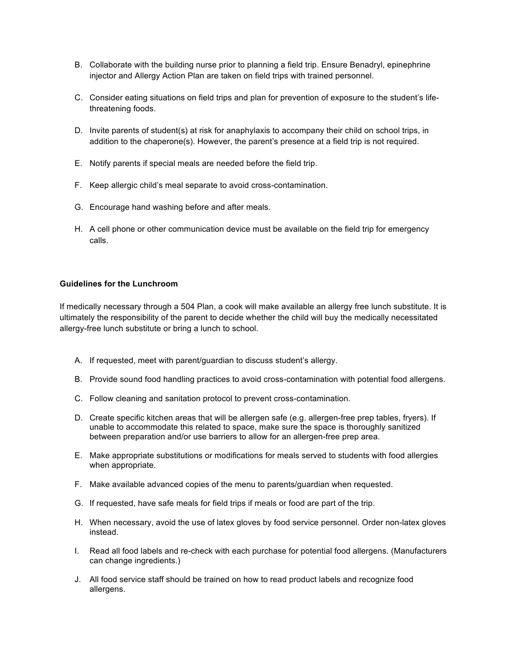- B. Collaborate with the building nurse prior to planning a field trip. Ensure Benadryl, epinephrine injector and Allergy Action Plan are taken on field trips with trained personnel.
- C. Consider eating situations on field trips and plan for prevention of exposure to the student's lifethreatening foods.
- D. Invite parents of student(s) at risk for anaphylaxis to accompany their child on school trips, in addition to the chaperone(s). However, the parent's presence at a field trip is not required.
- E. Notify parents if special meals are needed before the field trip.
- F. Keep allergic child's meal separate to avoid cross-contamination.
- G. Encourage hand washing before and after meals.
- H. A cell phone or other communication device must be available on the field trip for emergency calls.

#### **Guidelines for the Lunchroom**

If medically necessary through a 504 Plan, a cook will make available an allergy free lunch substitute. It is ultimately the responsibility of the parent to decide whether the child will buy the medically necessitated allergy-free lunch substitute or bring a lunch to school.

- A. If requested, meet with parent/guardian to discuss student's allergy.
- B. Provide sound food handling practices to avoid cross-contamination with potential food allergens.
- C. Follow cleaning and sanitation protocol to prevent cross-contamination.
- D. Create specific kitchen areas that will be allergen safe (e.g. allergen-free prep tables, fryers). If unable to accommodate this related to space, make sure the space is thoroughly sanitized between preparation and/or use barriers to allow for an allergen-free prep area.
- E. Make appropriate substitutions or modifications for meals served to students with food allergies when appropriate.
- F. Make available advanced copies of the menu to parents/guardian when requested.
- G. If requested, have safe meals for field trips if meals or food are part of the trip.
- H. When necessary, avoid the use of latex gloves by food service personnel. Order non-latex gloves instead.
- I. Read all food labels and re-check with each purchase for potential food allergens. (Manufacturers can change ingredients.)
- J. All food service staff should be trained on how to read product labels and recognize food allergens.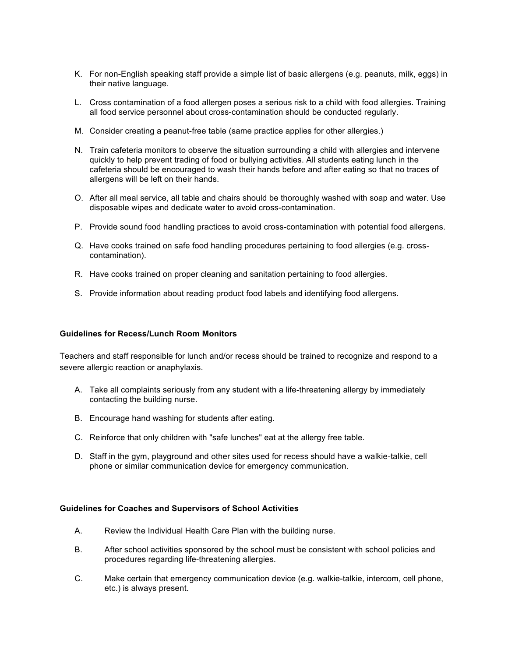- K. For non-English speaking staff provide a simple list of basic allergens (e.g. peanuts, milk, eggs) in their native language.
- L. Cross contamination of a food allergen poses a serious risk to a child with food allergies. Training all food service personnel about cross-contamination should be conducted regularly.
- M. Consider creating a peanut-free table (same practice applies for other allergies.)
- N. Train cafeteria monitors to observe the situation surrounding a child with allergies and intervene quickly to help prevent trading of food or bullying activities. All students eating lunch in the cafeteria should be encouraged to wash their hands before and after eating so that no traces of allergens will be left on their hands.
- O. After all meal service, all table and chairs should be thoroughly washed with soap and water. Use disposable wipes and dedicate water to avoid cross-contamination.
- P. Provide sound food handling practices to avoid cross-contamination with potential food allergens.
- Q. Have cooks trained on safe food handling procedures pertaining to food allergies (e.g. crosscontamination).
- R. Have cooks trained on proper cleaning and sanitation pertaining to food allergies.
- S. Provide information about reading product food labels and identifying food allergens.

# **Guidelines for Recess/Lunch Room Monitors**

Teachers and staff responsible for lunch and/or recess should be trained to recognize and respond to a severe allergic reaction or anaphylaxis.

- A. Take all complaints seriously from any student with a life-threatening allergy by immediately contacting the building nurse.
- B. Encourage hand washing for students after eating.
- C. Reinforce that only children with "safe lunches" eat at the allergy free table.
- D. Staff in the gym, playground and other sites used for recess should have a walkie-talkie, cell phone or similar communication device for emergency communication.

#### **Guidelines for Coaches and Supervisors of School Activities**

- A. Review the Individual Health Care Plan with the building nurse.
- B. After school activities sponsored by the school must be consistent with school policies and procedures regarding life-threatening allergies.
- C. Make certain that emergency communication device (e.g. walkie-talkie, intercom, cell phone, etc.) is always present.